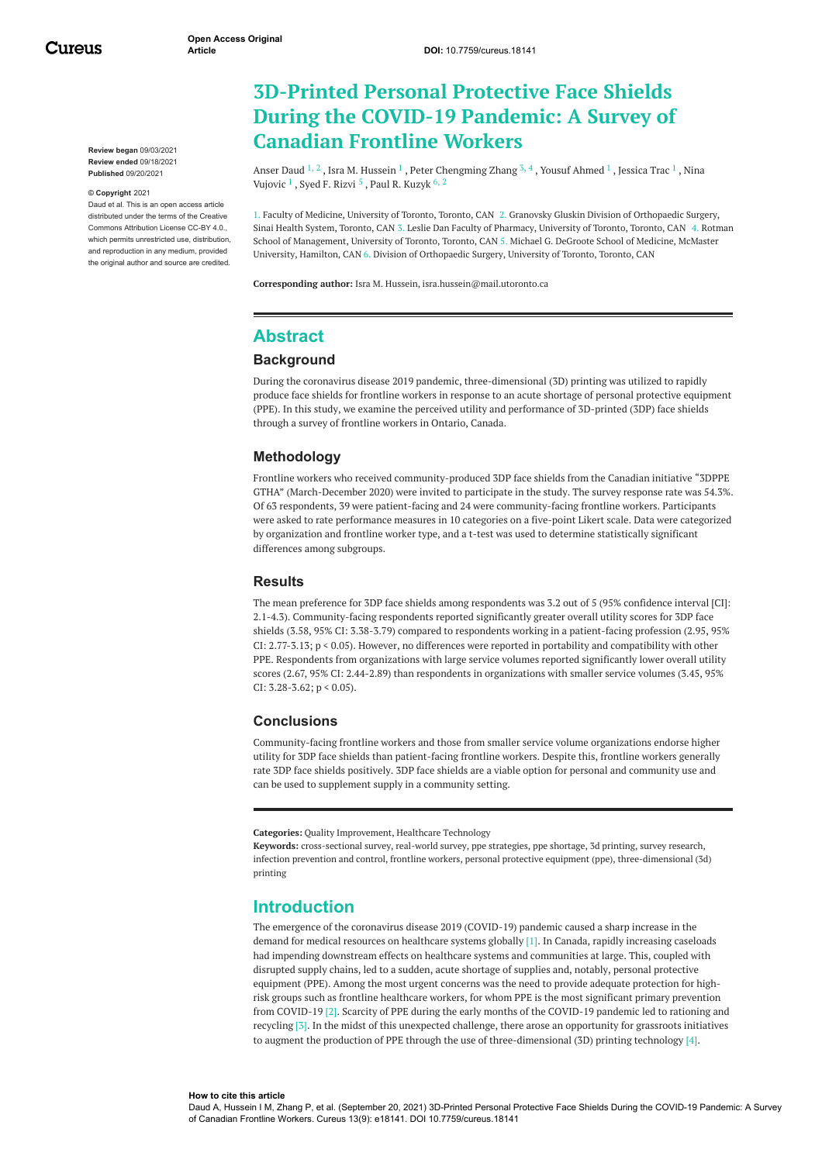**Review began** 09/03/2021 **Review ended** 09/18/2021 **Published** 09/20/2021

#### **© Copyright** 2021

Daud et al. This is an open access article distributed under the terms of the Creative Commons Attribution License CC-BY 4.0., which permits unrestricted use, distribution and reproduction in any medium, provided the original author and source are credited.

# **3D-Printed Personal Protective Face Shields During the COVID-19 Pandemic: A Survey of Canadian Frontline Workers**

[Anser](https://www.cureus.com/users/279060-anser-daud) Daud  $^{1,\,2}$  , Isra M. [Hussein](https://www.cureus.com/users/279068-isra-m-hussein)  $^{1}$  , Peter [Chengming](https://www.cureus.com/users/279069-peter-chengming-zhang) Zhang  $^{3,\,4}$  , Yousuf [Ahmed](https://www.cureus.com/users/279070-yousuf-ahmed)  $^{1}$  , [Jessica](https://www.cureus.com/users/279071-jessica-trac) Trac  $^{1}$  , Nina Vujovic  $^1$  , Syed F. [Rizvi](https://www.cureus.com/users/279073-syed-fayyaz-h-rizvi)  $^5$  , Paul R. [Kuzyk](https://www.cureus.com/users/279074-paul-r-kuzyk)  $^6$  ,  $^2$ 

1. Faculty of Medicine, University of Toronto, Toronto, CAN 2. Granovsky Gluskin Division of Orthopaedic Surgery, Sinai Health System, Toronto, CAN 3. Leslie Dan Faculty of Pharmacy, University of Toronto, Toronto, CAN 4. Rotman School of Management, University of Toronto, Toronto, CAN 5. Michael G. DeGroote School of Medicine, McMaster University, Hamilton, CAN 6. Division of Orthopaedic Surgery, University of Toronto, Toronto, CAN

**Corresponding author:** Isra M. Hussein, isra.hussein@mail.utoronto.ca

# **Abstract**

### **Background**

During the coronavirus disease 2019 pandemic, three-dimensional (3D) printing was utilized to rapidly produce face shields for frontline workers in response to an acute shortage of personal protective equipment (PPE). In this study, we examine the perceived utility and performance of 3D-printed (3DP) face shields through a survey of frontline workers in Ontario, Canada.

#### **Methodology**

Frontline workers who received community-produced 3DP face shields from the Canadian initiative "3DPPE GTHA" (March-December 2020) were invited to participate in the study. The survey response rate was 54.3%. Of 63 respondents, 39 were patient-facing and 24 were community-facing frontline workers. Participants were asked to rate performance measures in 10 categories on a five-point Likert scale. Data were categorized by organization and frontline worker type, and a t-test was used to determine statistically significant differences among subgroups.

### **Results**

The mean preference for 3DP face shields among respondents was 3.2 out of 5 (95% confidence interval [CI]: 2.1-4.3). Community-facing respondents reported significantly greater overall utility scores for 3DP face shields (3.58, 95% CI: 3.38-3.79) compared to respondents working in a patient-facing profession (2.95, 95% CI: 2.77-3.13; p < 0.05). However, no differences were reported in portability and compatibility with other PPE. Respondents from organizations with large service volumes reported significantly lower overall utility scores (2.67, 95% CI: 2.44-2.89) than respondents in organizations with smaller service volumes (3.45, 95% CI: 3.28-3.62;  $p < 0.05$ ).

#### **Conclusions**

Community-facing frontline workers and those from smaller service volume organizations endorse higher utility for 3DP face shields than patient-facing frontline workers. Despite this, frontline workers generally rate 3DP face shields positively. 3DP face shields are a viable option for personal and community use and can be used to supplement supply in a community setting.

**Categories:** Quality Improvement, Healthcare Technology

**Keywords:** cross-sectional survey, real-world survey, ppe strategies, ppe shortage, 3d printing, survey research, infection prevention and control, frontline workers, personal protective equipment (ppe), three-dimensional (3d) printing

## **Introduction**

The emergence of the coronavirus disease 2019 (COVID-19) pandemic caused a sharp increase in the demand for medical resources on healthcare systems globally [1]. In Canada, rapidly increasing caseloads had impending downstream effects on healthcare systems and communities at large. This, coupled with disrupted supply chains, led to a sudden, acute shortage of supplies and, notably, personal protective equipment (PPE). Among the most urgent concerns was the need to provide adequate protection for highrisk groups such as frontline healthcare workers, for whom PPE is the most significant primary prevention from COVID-19 [2]. Scarcity of PPE during the early months of the COVID-19 pandemic led to rationing and recycling [3]. In the midst of this unexpected challenge, there arose an opportunity for grassroots initiatives to augment the production of PPE through the use of three-dimensional (3D) printing technology [4].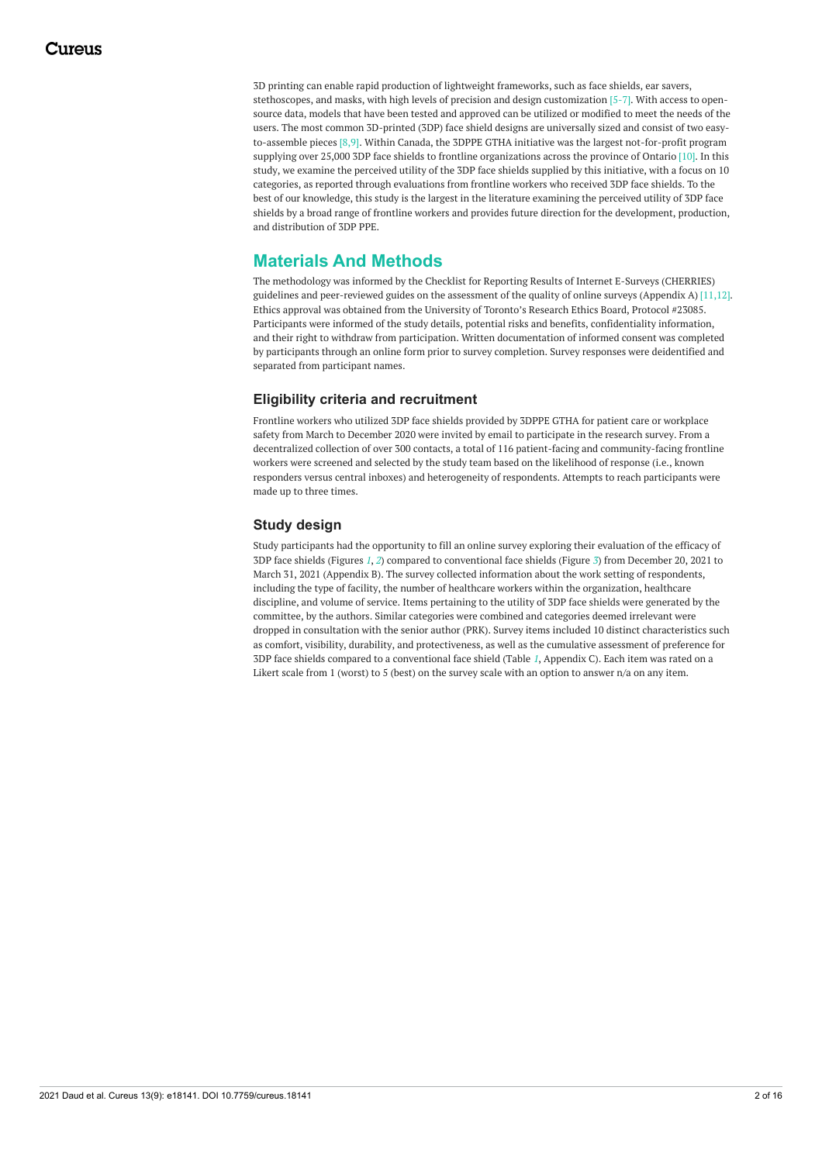3D printing can enable rapid production of lightweight frameworks, such as face shields, ear savers, stethoscopes, and masks, with high levels of precision and design customization [5-7]. With access to opensource data, models that have been tested and approved can be utilized or modified to meet the needs of the users. The most common 3D-printed (3DP) face shield designs are universally sized and consist of two easyto-assemble pieces [8,9]. Within Canada, the 3DPPE GTHA initiative was the largest not-for-profit program supplying over 25,000 3DP face shields to frontline organizations across the province of Ontario [10]. In this study, we examine the perceived utility of the 3DP face shields supplied by this initiative, with a focus on 10 categories, as reported through evaluations from frontline workers who received 3DP face shields. To the best of our knowledge, this study is the largest in the literature examining the perceived utility of 3DP face shields by a broad range of frontline workers and provides future direction for the development, production, and distribution of 3DP PPE.

# **Materials And Methods**

The methodology was informed by the Checklist for Reporting Results of Internet E-Surveys (CHERRIES) guidelines and peer-reviewed guides on the assessment of the quality of online surveys (Appendix A) [11,12]. Ethics approval was obtained from the University of Toronto's Research Ethics Board, Protocol #23085. Participants were informed of the study details, potential risks and benefits, confidentiality information, and their right to withdraw from participation. Written documentation of informed consent was completed by participants through an online form prior to survey completion. Survey responses were deidentified and separated from participant names.

## **Eligibility criteria and recruitment**

Frontline workers who utilized 3DP face shields provided by 3DPPE GTHA for patient care or workplace safety from March to December 2020 were invited by email to participate in the research survey. From a decentralized collection of over 300 contacts, a total of 116 patient-facing and community-facing frontline workers were screened and selected by the study team based on the likelihood of response (i.e., known responders versus central inboxes) and heterogeneity of respondents. Attempts to reach participants were made up to three times.

## **Study design**

Study participants had the opportunity to fill an online survey exploring their evaluation of the efficacy of 3DP face shields (Figures *[1](#page-2-0)*, *[2](#page-2-1)*) compared to conventional face shields (Figure *[3](#page-3-0)*) from December 20, 2021 to March 31, 2021 (Appendix B). The survey collected information about the work setting of respondents, including the type of facility, the number of healthcare workers within the organization, healthcare discipline, and volume of service. Items pertaining to the utility of 3DP face shields were generated by the committee, by the authors. Similar categories were combined and categories deemed irrelevant were dropped in consultation with the senior author (PRK). Survey items included 10 distinct characteristics such as comfort, visibility, durability, and protectiveness, as well as the cumulative assessment of preference for 3DP face shields compared to a conventional face shield (Table *[1](#page-3-1)*, Appendix C). Each item was rated on a Likert scale from 1 (worst) to 5 (best) on the survey scale with an option to answer n/a on any item.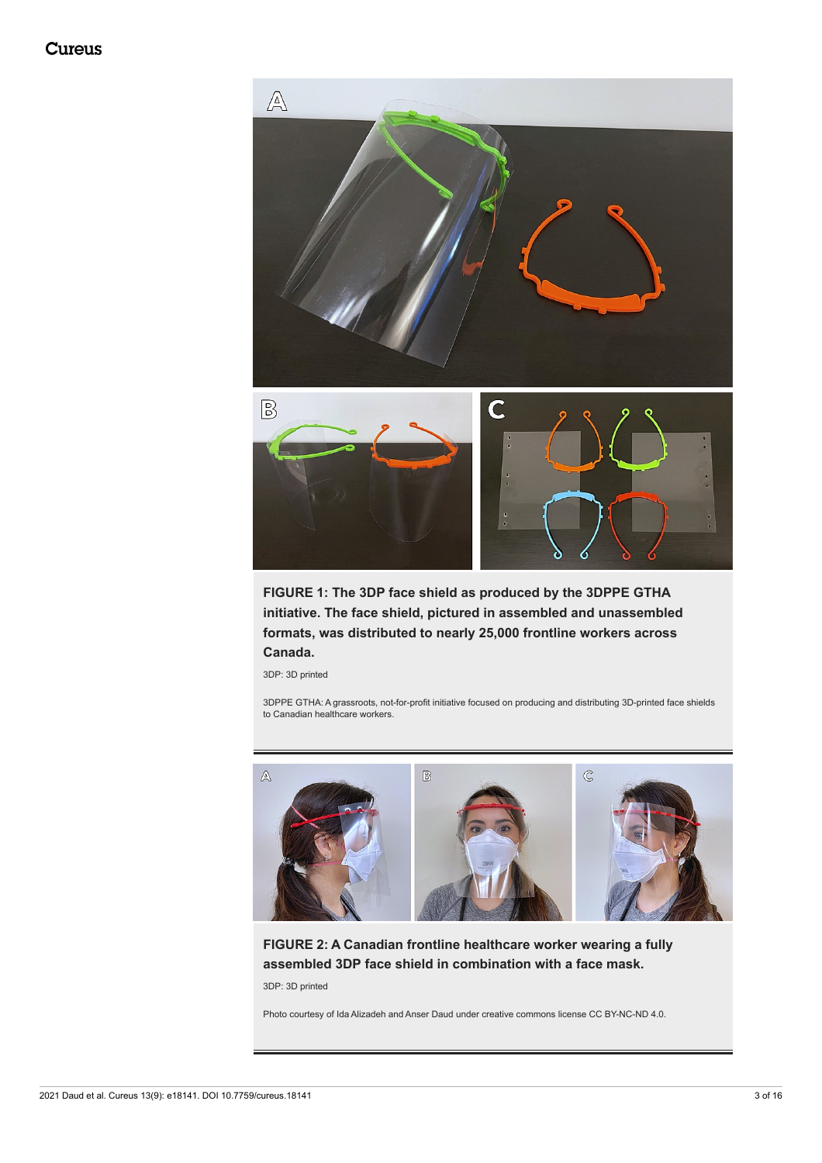<span id="page-2-0"></span>

**FIGURE 1: The 3DP face shield as produced by the 3DPPE GTHA initiative. The face shield, pictured in assembled and unassembled formats, was distributed to nearly 25,000 frontline workers across Canada.**

3DP: 3D printed

3DPPE GTHA: A grassroots, not-for-profit initiative focused on producing and distributing 3D-printed face shields to Canadian healthcare workers.

<span id="page-2-1"></span>

**FIGURE 2: A Canadian frontline healthcare worker wearing a fully assembled 3DP face shield in combination with a face mask.** 3DP: 3D printed

Photo courtesy of Ida Alizadeh and Anser Daud under creative commons license CC BY-NC-ND 4.0.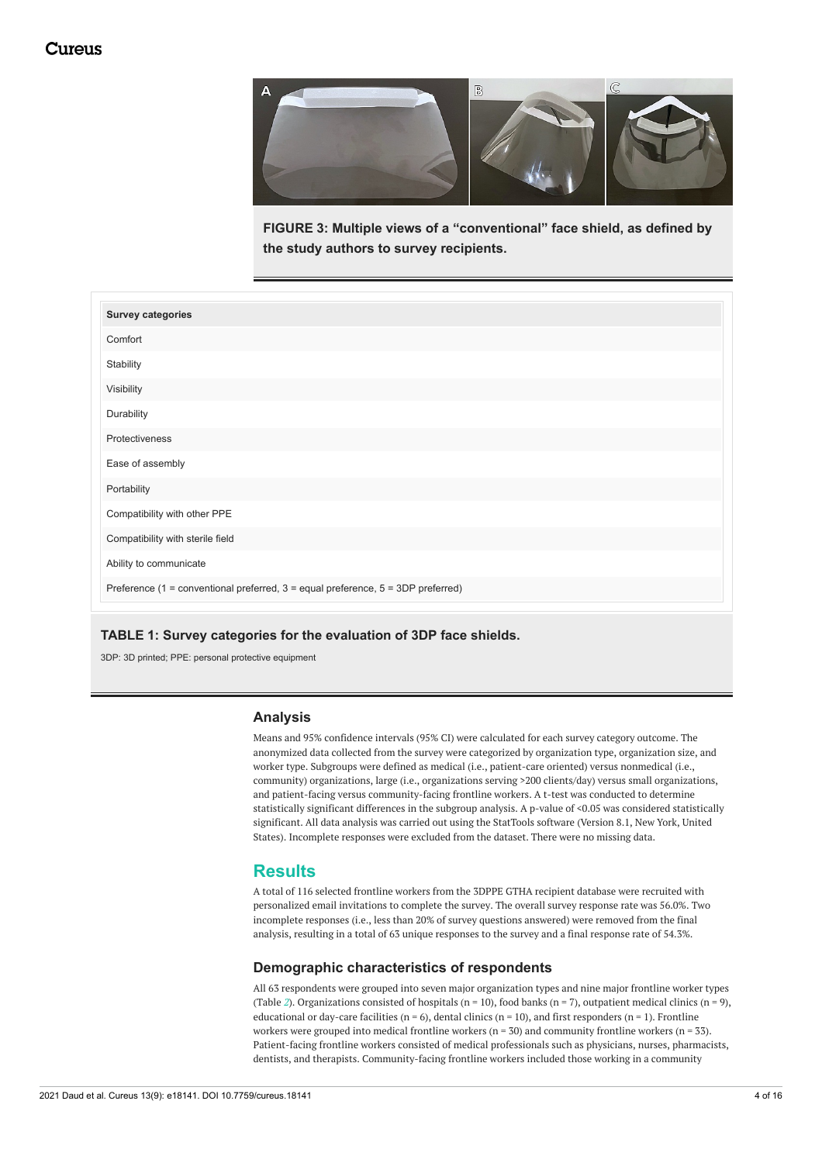<span id="page-3-0"></span>

**FIGURE 3: Multiple views of a "conventional" face shield, as defined by the study authors to survey recipients.**

<span id="page-3-1"></span>

| <b>Survey categories</b>                                                         |  |  |  |  |
|----------------------------------------------------------------------------------|--|--|--|--|
| Comfort                                                                          |  |  |  |  |
| Stability                                                                        |  |  |  |  |
| Visibility                                                                       |  |  |  |  |
| Durability                                                                       |  |  |  |  |
| Protectiveness                                                                   |  |  |  |  |
| Ease of assembly                                                                 |  |  |  |  |
| Portability                                                                      |  |  |  |  |
| Compatibility with other PPE                                                     |  |  |  |  |
| Compatibility with sterile field                                                 |  |  |  |  |
| Ability to communicate                                                           |  |  |  |  |
| Preference (1 = conventional preferred, 3 = equal preference, 5 = 3DP preferred) |  |  |  |  |

### **TABLE 1: Survey categories for the evaluation of 3DP face shields.**

3DP: 3D printed; PPE: personal protective equipment

### **Analysis**

Means and 95% confidence intervals (95% CI) were calculated for each survey category outcome. The anonymized data collected from the survey were categorized by organization type, organization size, and worker type. Subgroups were defined as medical (i.e., patient-care oriented) versus nonmedical (i.e., community) organizations, large (i.e., organizations serving >200 clients/day) versus small organizations, and patient-facing versus community-facing frontline workers. A t-test was conducted to determine statistically significant differences in the subgroup analysis. A p-value of <0.05 was considered statistically significant. All data analysis was carried out using the StatTools software (Version 8.1, New York, United States). Incomplete responses were excluded from the dataset. There were no missing data.

## **Results**

A total of 116 selected frontline workers from the 3DPPE GTHA recipient database were recruited with personalized email invitations to complete the survey. The overall survey response rate was 56.0%. Two incomplete responses (i.e., less than 20% of survey questions answered) were removed from the final analysis, resulting in a total of 63 unique responses to the survey and a final response rate of 54.3%.

### **Demographic characteristics of respondents**

All 63 respondents were grouped into seven major organization types and nine major frontline worker types (Table [2](#page-4-0)). Organizations consisted of hospitals ( $n = 10$ ), food banks ( $n = 7$ ), outpatient medical clinics ( $n = 9$ ), educational or day-care facilities ( $n = 6$ ), dental clinics ( $n = 10$ ), and first responders ( $n = 1$ ). Frontline workers were grouped into medical frontline workers ( $n = 30$ ) and community frontline workers ( $n = 33$ ). Patient-facing frontline workers consisted of medical professionals such as physicians, nurses, pharmacists, dentists, and therapists. Community-facing frontline workers included those working in a community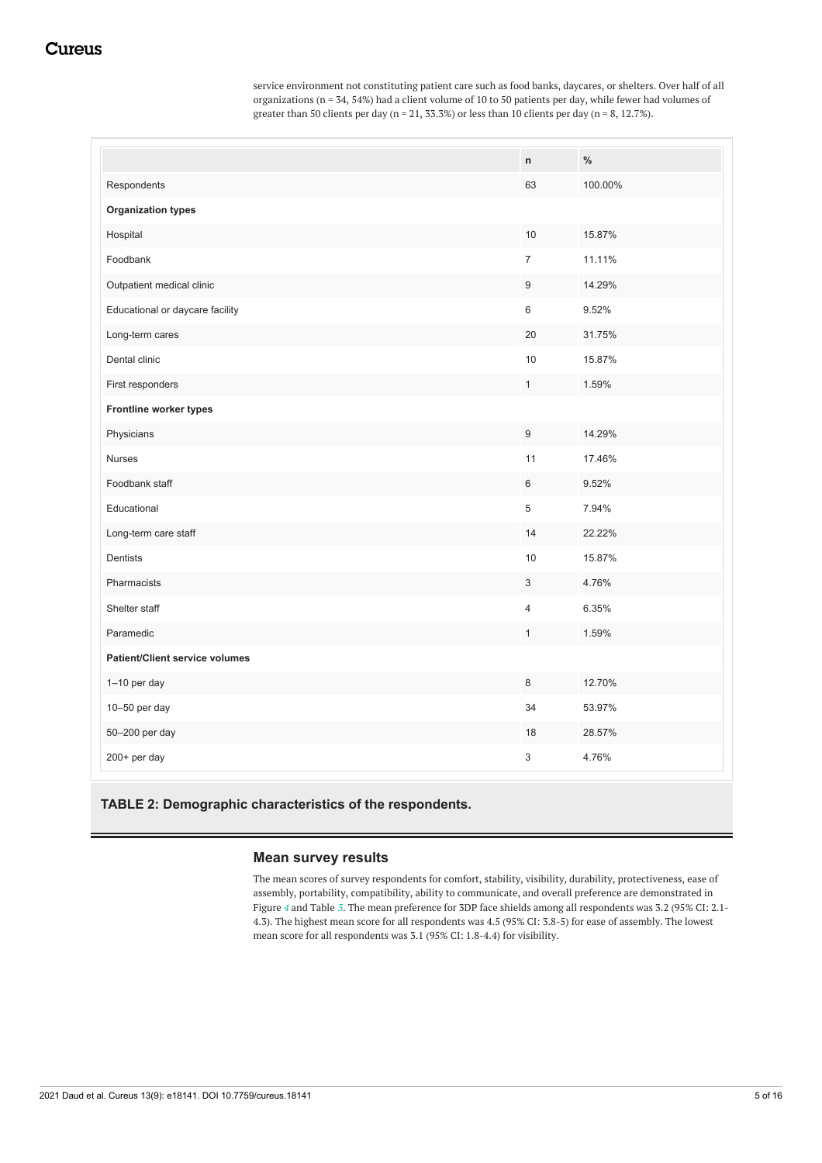service environment not constituting patient care such as food banks, daycares, or shelters. Over half of all organizations (n = 34, 54%) had a client volume of 10 to 50 patients per day, while fewer had volumes of greater than 50 clients per day (n = 21, 33.3%) or less than 10 clients per day (n = 8, 12.7%).

<span id="page-4-0"></span>

| Respondents<br>100.00%<br>63<br><b>Organization types</b><br>Hospital<br>10<br>15.87%<br>$\overline{7}$<br>Foodbank<br>11.11%<br>9<br>Outpatient medical clinic<br>14.29%<br>9.52%<br>Educational or daycare facility<br>6<br>20<br>31.75%<br>Long-term cares<br>Dental clinic<br>10<br>15.87%<br>$\mathbf{1}$<br>1.59%<br>First responders<br>Frontline worker types<br>Physicians<br>9<br>14.29%<br>11<br>17.46%<br><b>Nurses</b> |  |  |  |  |  |
|-------------------------------------------------------------------------------------------------------------------------------------------------------------------------------------------------------------------------------------------------------------------------------------------------------------------------------------------------------------------------------------------------------------------------------------|--|--|--|--|--|
|                                                                                                                                                                                                                                                                                                                                                                                                                                     |  |  |  |  |  |
|                                                                                                                                                                                                                                                                                                                                                                                                                                     |  |  |  |  |  |
|                                                                                                                                                                                                                                                                                                                                                                                                                                     |  |  |  |  |  |
|                                                                                                                                                                                                                                                                                                                                                                                                                                     |  |  |  |  |  |
|                                                                                                                                                                                                                                                                                                                                                                                                                                     |  |  |  |  |  |
|                                                                                                                                                                                                                                                                                                                                                                                                                                     |  |  |  |  |  |
|                                                                                                                                                                                                                                                                                                                                                                                                                                     |  |  |  |  |  |
|                                                                                                                                                                                                                                                                                                                                                                                                                                     |  |  |  |  |  |
|                                                                                                                                                                                                                                                                                                                                                                                                                                     |  |  |  |  |  |
|                                                                                                                                                                                                                                                                                                                                                                                                                                     |  |  |  |  |  |
|                                                                                                                                                                                                                                                                                                                                                                                                                                     |  |  |  |  |  |
|                                                                                                                                                                                                                                                                                                                                                                                                                                     |  |  |  |  |  |
| Foodbank staff<br>6<br>9.52%                                                                                                                                                                                                                                                                                                                                                                                                        |  |  |  |  |  |
| 5<br>Educational<br>7.94%                                                                                                                                                                                                                                                                                                                                                                                                           |  |  |  |  |  |
| 14<br>Long-term care staff<br>22.22%                                                                                                                                                                                                                                                                                                                                                                                                |  |  |  |  |  |
| 10<br>15.87%<br>Dentists                                                                                                                                                                                                                                                                                                                                                                                                            |  |  |  |  |  |
| Pharmacists<br>3<br>4.76%                                                                                                                                                                                                                                                                                                                                                                                                           |  |  |  |  |  |
| Shelter staff<br>6.35%<br>$\overline{4}$                                                                                                                                                                                                                                                                                                                                                                                            |  |  |  |  |  |
| Paramedic<br>1.59%<br>$\mathbf{1}$                                                                                                                                                                                                                                                                                                                                                                                                  |  |  |  |  |  |
| <b>Patient/Client service volumes</b>                                                                                                                                                                                                                                                                                                                                                                                               |  |  |  |  |  |
| 1-10 per day<br>8<br>12.70%                                                                                                                                                                                                                                                                                                                                                                                                         |  |  |  |  |  |
| 10-50 per day<br>34<br>53.97%                                                                                                                                                                                                                                                                                                                                                                                                       |  |  |  |  |  |
| 50-200 per day<br>18<br>28.57%                                                                                                                                                                                                                                                                                                                                                                                                      |  |  |  |  |  |
| 3<br>4.76%<br>200+ per day                                                                                                                                                                                                                                                                                                                                                                                                          |  |  |  |  |  |

**TABLE 2: Demographic characteristics of the respondents.**

## **Mean survey results**

The mean scores of survey respondents for comfort, stability, visibility, durability, protectiveness, ease of assembly, portability, compatibility, ability to communicate, and overall preference are demonstrated in Figure *[4](#page-5-0)* and Table *[3](#page-5-1)*. The mean preference for 3DP face shields among all respondents was 3.2 (95% CI: 2.1- 4.3). The highest mean score for all respondents was 4.5 (95% CI: 3.8-5) for ease of assembly. The lowest mean score for all respondents was 3.1 (95% CI: 1.8-4.4) for visibility.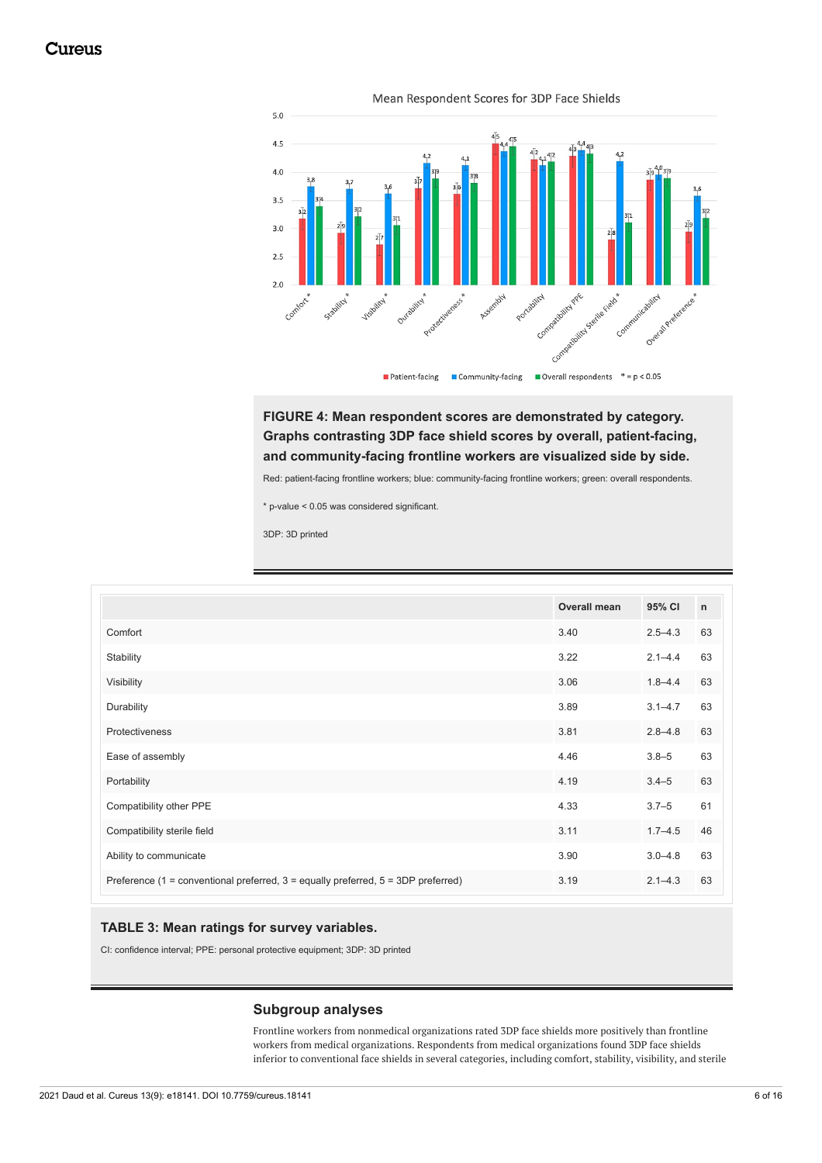<span id="page-5-0"></span>

Mean Respondent Scores for 3DP Face Shields

**FIGURE 4: Mean respondent scores are demonstrated by category. Graphs contrasting 3DP face shield scores by overall, patient-facing, and community-facing frontline workers are visualized side by side.**

Red: patient-facing frontline workers; blue: community-facing frontline workers; green: overall respondents.

\* p-value < 0.05 was considered significant.

3DP: 3D printed

<span id="page-5-1"></span>

|                                                                                   | Overall mean | 95% CI      | $\mathsf{n}$ |
|-----------------------------------------------------------------------------------|--------------|-------------|--------------|
| Comfort                                                                           | 3.40         | $2.5 - 4.3$ | 63           |
| Stability                                                                         | 3.22         | $2.1 - 4.4$ | 63           |
| Visibility                                                                        | 3.06         | $1.8 - 4.4$ | 63           |
| Durability                                                                        | 3.89         | $3.1 - 4.7$ | 63           |
| Protectiveness                                                                    | 3.81         | $2.8 - 4.8$ | 63           |
| Ease of assembly                                                                  | 4.46         | $3.8 - 5$   | 63           |
| Portability                                                                       | 4.19         | $3.4 - 5$   | 63           |
| Compatibility other PPE                                                           | 4.33         | $3.7 - 5$   | 61           |
| Compatibility sterile field                                                       | 3.11         | $1.7 - 4.5$ | 46           |
| Ability to communicate                                                            | 3.90         | $3.0 - 4.8$ | 63           |
| Preference (1 = conventional preferred, 3 = equally preferred, 5 = 3DP preferred) | 3.19         | $2.1 - 4.3$ | 63           |

### **TABLE 3: Mean ratings for survey variables.**

CI: confidence interval; PPE: personal protective equipment; 3DP: 3D printed

### **Subgroup analyses**

Frontline workers from nonmedical organizations rated 3DP face shields more positively than frontline workers from medical organizations. Respondents from medical organizations found 3DP face shields inferior to conventional face shields in several categories, including comfort, stability, visibility, and sterile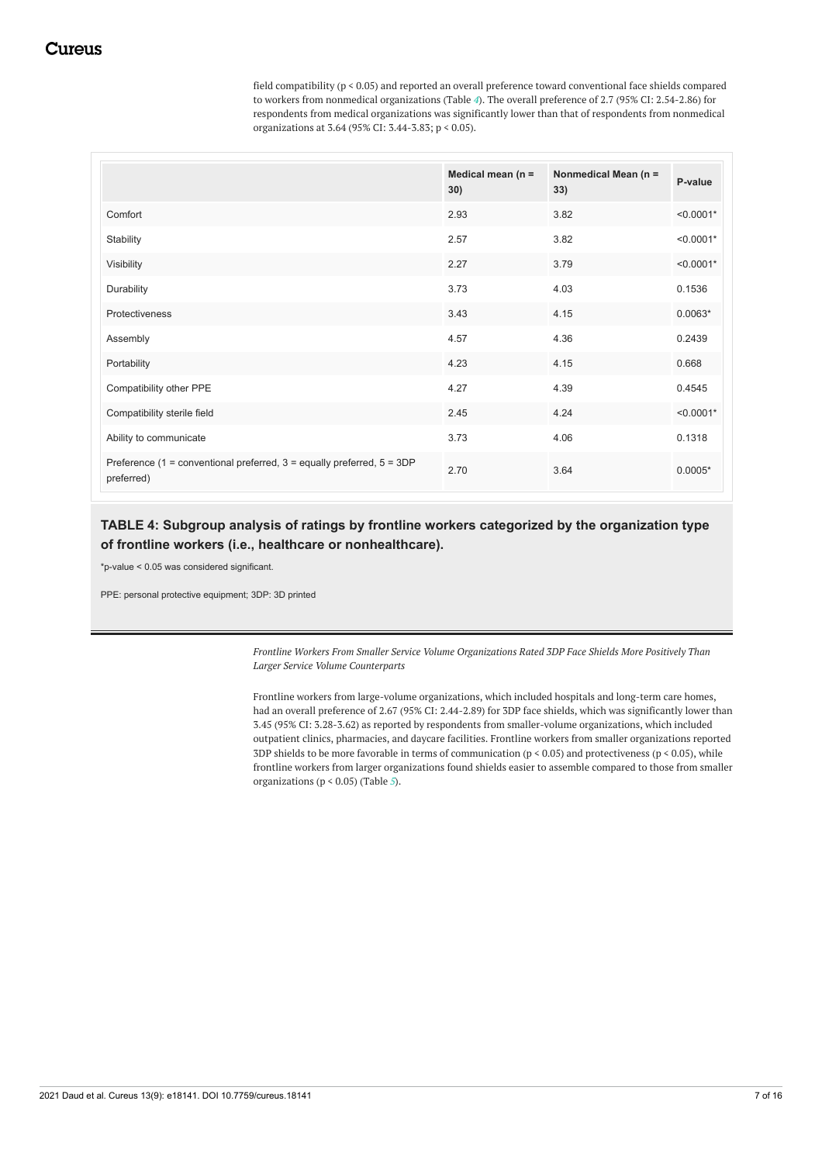field compatibility (p < 0.05) and reported an overall preference toward conventional face shields compared to workers from nonmedical organizations (Table *[4](#page-6-0)*). The overall preference of 2.7 (95% CI: 2.54-2.86) for respondents from medical organizations was significantly lower than that of respondents from nonmedical organizations at 3.64 (95% CI: 3.44-3.83; p < 0.05).

<span id="page-6-0"></span>

|                                                                                          | Medical mean ( $n =$<br>30) | Nonmedical Mean (n =<br>33) | P-value     |
|------------------------------------------------------------------------------------------|-----------------------------|-----------------------------|-------------|
| Comfort                                                                                  | 2.93                        | 3.82                        | $< 0.0001*$ |
| Stability                                                                                | 2.57                        | 3.82                        | $< 0.0001*$ |
| Visibility                                                                               | 2.27                        | 3.79                        | $< 0.0001*$ |
| Durability                                                                               | 3.73                        | 4.03                        | 0.1536      |
| Protectiveness                                                                           | 3.43                        | 4.15                        | $0.0063*$   |
| Assembly                                                                                 | 4.57                        | 4.36                        | 0.2439      |
| Portability                                                                              | 4.23                        | 4.15                        | 0.668       |
| Compatibility other PPE                                                                  | 4.27                        | 4.39                        | 0.4545      |
| Compatibility sterile field                                                              | 2.45                        | 4.24                        | $< 0.0001*$ |
| Ability to communicate                                                                   | 3.73                        | 4.06                        | 0.1318      |
| Preference (1 = conventional preferred, $3$ = equally preferred, $5 = 3DP$<br>preferred) | 2.70                        | 3.64                        | $0.0005*$   |

# **TABLE 4: Subgroup analysis of ratings by frontline workers categorized by the organization type of frontline workers (i.e., healthcare or nonhealthcare).**

\*p-value < 0.05 was considered significant.

PPE: personal protective equipment; 3DP: 3D printed

*Frontline Workers From Smaller Service Volume Organizations Rated 3DP Face Shields More Positively Than Larger Service Volume Counterparts*

Frontline workers from large-volume organizations, which included hospitals and long-term care homes, had an overall preference of 2.67 (95% CI: 2.44-2.89) for 3DP face shields, which was significantly lower than 3.45 (95% CI: 3.28-3.62) as reported by respondents from smaller-volume organizations, which included outpatient clinics, pharmacies, and daycare facilities. Frontline workers from smaller organizations reported 3DP shields to be more favorable in terms of communication ( $p < 0.05$ ) and protectiveness ( $p < 0.05$ ), while frontline workers from larger organizations found shields easier to assemble compared to those from smaller organizations (p < 0.05) (Table *[5](#page-7-0)*).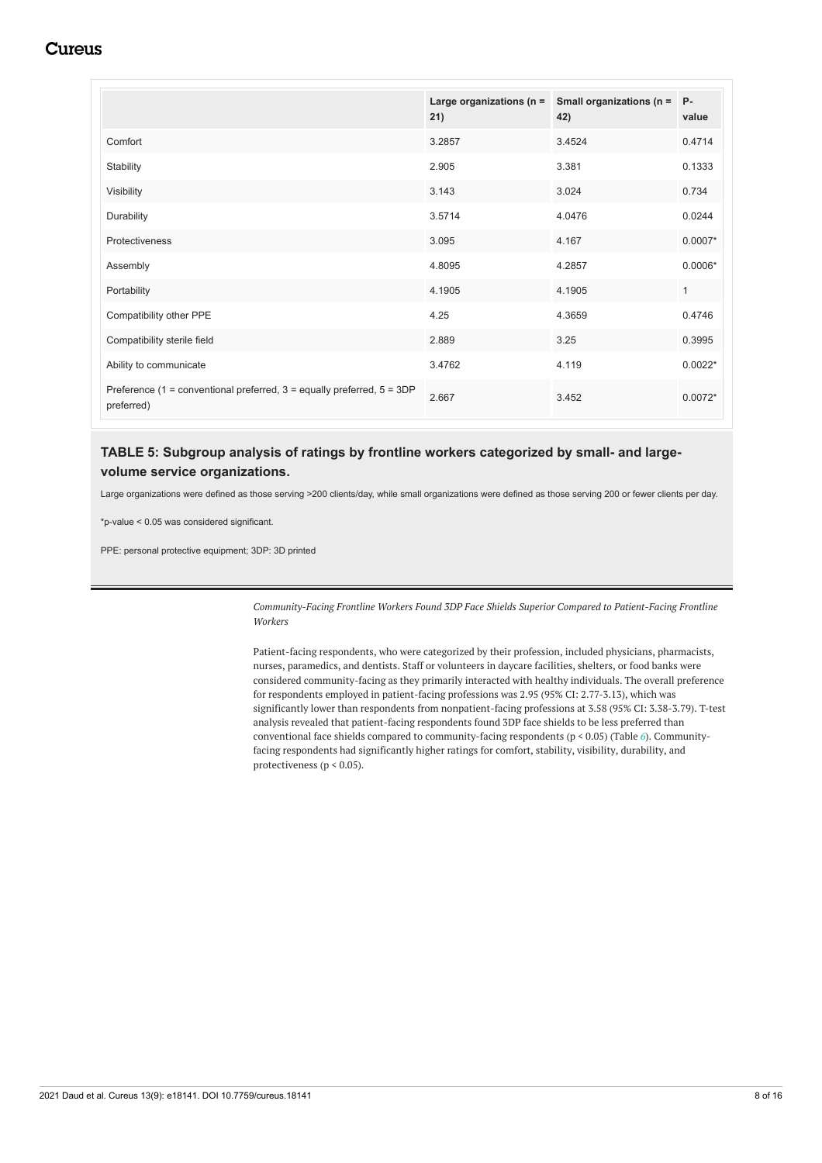<span id="page-7-0"></span>

|                                                                                          | Large organizations ( $n =$<br>21) | Small organizations (n =<br>42) | $P -$<br>value |
|------------------------------------------------------------------------------------------|------------------------------------|---------------------------------|----------------|
| Comfort                                                                                  | 3.2857                             | 3.4524                          | 0.4714         |
| Stability                                                                                | 2.905                              | 3.381                           | 0.1333         |
| Visibility                                                                               | 3.143                              | 3.024                           | 0.734          |
| Durability                                                                               | 3.5714                             | 4.0476                          | 0.0244         |
| Protectiveness                                                                           | 3.095                              | 4.167                           | $0.0007*$      |
| Assembly                                                                                 | 4.8095                             | 4.2857                          | $0.0006*$      |
| Portability                                                                              | 4.1905                             | 4.1905                          | $\mathbf{1}$   |
| Compatibility other PPE                                                                  | 4.25                               | 4.3659                          | 0.4746         |
| Compatibility sterile field                                                              | 2.889                              | 3.25                            | 0.3995         |
| Ability to communicate                                                                   | 3.4762                             | 4.119                           | $0.0022*$      |
| Preference (1 = conventional preferred, $3$ = equally preferred, $5 = 3DP$<br>preferred) | 2.667                              | 3.452                           | $0.0072*$      |

# **TABLE 5: Subgroup analysis of ratings by frontline workers categorized by small- and largevolume service organizations.**

Large organizations were defined as those serving >200 clients/day, while small organizations were defined as those serving 200 or fewer clients per day.

\*p-value < 0.05 was considered significant.

PPE: personal protective equipment; 3DP: 3D printed

*Community-Facing Frontline Workers Found 3DP Face Shields Superior Compared to Patient-Facing Frontline Workers*

Patient-facing respondents, who were categorized by their profession, included physicians, pharmacists, nurses, paramedics, and dentists. Staff or volunteers in daycare facilities, shelters, or food banks were considered community-facing as they primarily interacted with healthy individuals. The overall preference for respondents employed in patient-facing professions was 2.95 (95% CI: 2.77-3.13), which was significantly lower than respondents from nonpatient-facing professions at 3.58 (95% CI: 3.38-3.79). T-test analysis revealed that patient-facing respondents found 3DP face shields to be less preferred than conventional face shields compared to community-facing respondents (p < 0.05) (Table *[6](#page-8-0)*). Communityfacing respondents had significantly higher ratings for comfort, stability, visibility, durability, and protectiveness ( $p < 0.05$ ).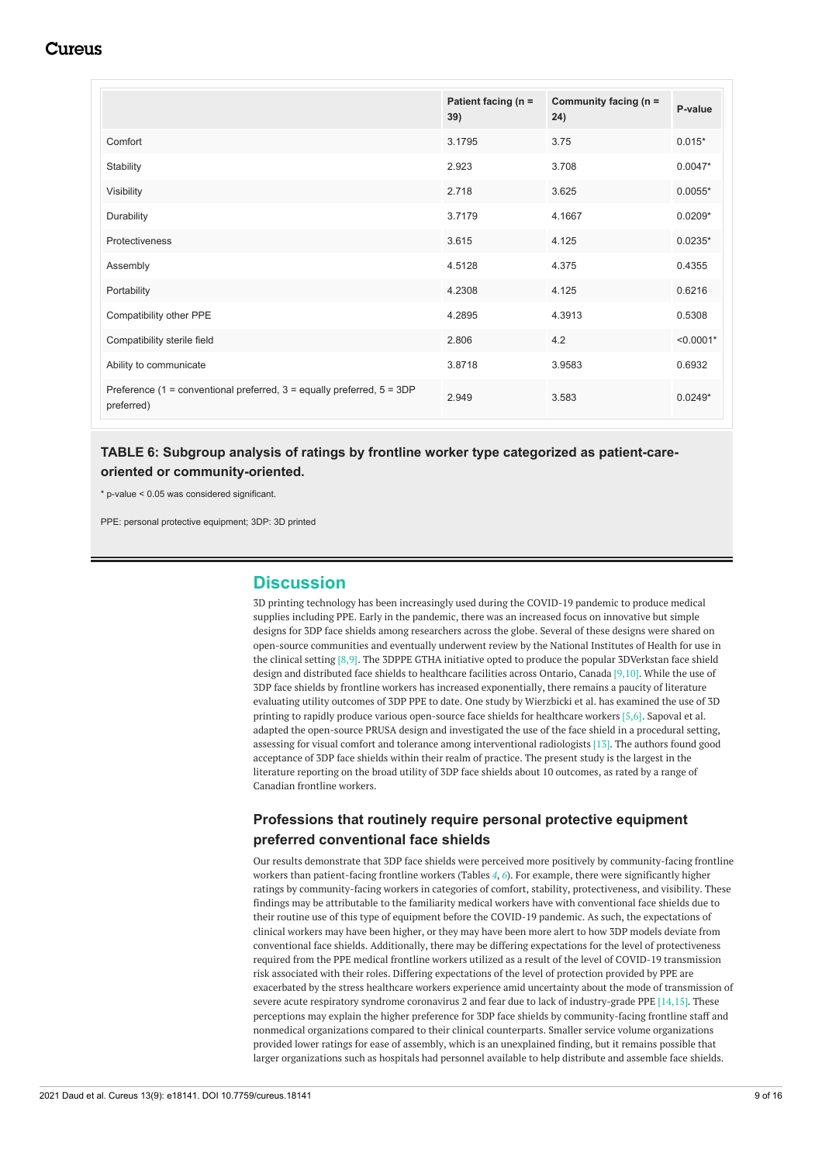<span id="page-8-0"></span>

|                                                                                          | Patient facing (n =<br>39) | Community facing ( $n =$<br>24) | P-value     |
|------------------------------------------------------------------------------------------|----------------------------|---------------------------------|-------------|
| Comfort                                                                                  | 3.1795                     | 3.75                            | $0.015*$    |
| Stability                                                                                | 2.923                      | 3.708                           | $0.0047*$   |
| Visibility                                                                               | 2.718                      | 3.625                           | $0.0055*$   |
| Durability                                                                               | 3.7179                     | 4.1667                          | $0.0209*$   |
| Protectiveness                                                                           | 3.615                      | 4.125                           | $0.0235*$   |
| Assembly                                                                                 | 4.5128                     | 4.375                           | 0.4355      |
| Portability                                                                              | 4.2308                     | 4.125                           | 0.6216      |
| Compatibility other PPE                                                                  | 4.2895                     | 4.3913                          | 0.5308      |
| Compatibility sterile field                                                              | 2.806                      | 4.2                             | $< 0.0001*$ |
| Ability to communicate                                                                   | 3.8718                     | 3.9583                          | 0.6932      |
| Preference (1 = conventional preferred, $3$ = equally preferred, $5 = 3DP$<br>preferred) | 2.949                      | 3.583                           | $0.0249*$   |

# **TABLE 6: Subgroup analysis of ratings by frontline worker type categorized as patient-careoriented or community-oriented.**

\* p-value < 0.05 was considered significant.

PPE: personal protective equipment; 3DP: 3D printed

# **Discussion**

3D printing technology has been increasingly used during the COVID-19 pandemic to produce medical supplies including PPE. Early in the pandemic, there was an increased focus on innovative but simple designs for 3DP face shields among researchers across the globe. Several of these designs were shared on open-source communities and eventually underwent review by the National Institutes of Health for use in the clinical setting [8,9]. The 3DPPE GTHA initiative opted to produce the popular 3DVerkstan face shield design and distributed face shields to healthcare facilities across Ontario, Canada [9,10]. While the use of 3DP face shields by frontline workers has increased exponentially, there remains a paucity of literature evaluating utility outcomes of 3DP PPE to date. One study by Wierzbicki et al. has examined the use of 3D printing to rapidly produce various open-source face shields for healthcare workers [5,6]. Sapoval et al. adapted the open-source PRUSA design and investigated the use of the face shield in a procedural setting, assessing for visual comfort and tolerance among interventional radiologists [13]. The authors found good acceptance of 3DP face shields within their realm of practice. The present study is the largest in the literature reporting on the broad utility of 3DP face shields about 10 outcomes, as rated by a range of Canadian frontline workers.

# **Professions that routinely require personal protective equipment preferred conventional face shields**

Our results demonstrate that 3DP face shields were perceived more positively by community-facing frontline workers than patient-facing frontline workers (Tables *[4](#page-6-0)*, *[6](#page-8-0)*). For example, there were significantly higher ratings by community-facing workers in categories of comfort, stability, protectiveness, and visibility. These findings may be attributable to the familiarity medical workers have with conventional face shields due to their routine use of this type of equipment before the COVID-19 pandemic. As such, the expectations of clinical workers may have been higher, or they may have been more alert to how 3DP models deviate from conventional face shields. Additionally, there may be differing expectations for the level of protectiveness required from the PPE medical frontline workers utilized as a result of the level of COVID-19 transmission risk associated with their roles. Differing expectations of the level of protection provided by PPE are exacerbated by the stress healthcare workers experience amid uncertainty about the mode of transmission of severe acute respiratory syndrome coronavirus 2 and fear due to lack of industry-grade PPE [14,15]. These perceptions may explain the higher preference for 3DP face shields by community-facing frontline staff and nonmedical organizations compared to their clinical counterparts. Smaller service volume organizations provided lower ratings for ease of assembly, which is an unexplained finding, but it remains possible that larger organizations such as hospitals had personnel available to help distribute and assemble face shields.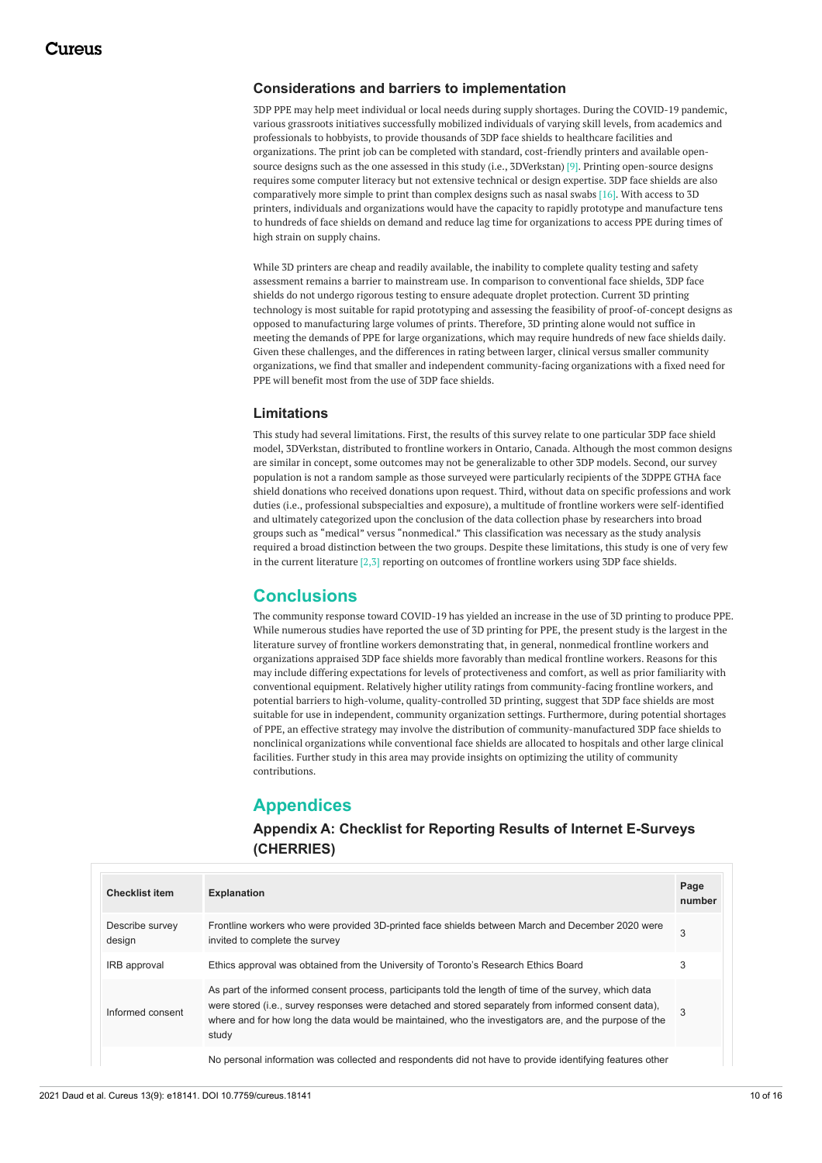### **Considerations and barriers to implementation**

3DP PPE may help meet individual or local needs during supply shortages. During the COVID-19 pandemic, various grassroots initiatives successfully mobilized individuals of varying skill levels, from academics and professionals to hobbyists, to provide thousands of 3DP face shields to healthcare facilities and organizations. The print job can be completed with standard, cost-friendly printers and available opensource designs such as the one assessed in this study (i.e., 3DVerkstan) [9]. Printing open-source designs requires some computer literacy but not extensive technical or design expertise. 3DP face shields are also comparatively more simple to print than complex designs such as nasal swabs [16]. With access to 3D printers, individuals and organizations would have the capacity to rapidly prototype and manufacture tens to hundreds of face shields on demand and reduce lag time for organizations to access PPE during times of high strain on supply chains.

While 3D printers are cheap and readily available, the inability to complete quality testing and safety assessment remains a barrier to mainstream use. In comparison to conventional face shields, 3DP face shields do not undergo rigorous testing to ensure adequate droplet protection. Current 3D printing technology is most suitable for rapid prototyping and assessing the feasibility of proof-of-concept designs as opposed to manufacturing large volumes of prints. Therefore, 3D printing alone would not suffice in meeting the demands of PPE for large organizations, which may require hundreds of new face shields daily. Given these challenges, and the differences in rating between larger, clinical versus smaller community organizations, we find that smaller and independent community-facing organizations with a fixed need for PPE will benefit most from the use of 3DP face shields.

### **Limitations**

This study had several limitations. First, the results of this survey relate to one particular 3DP face shield model, 3DVerkstan, distributed to frontline workers in Ontario, Canada. Although the most common designs are similar in concept, some outcomes may not be generalizable to other 3DP models. Second, our survey population is not a random sample as those surveyed were particularly recipients of the 3DPPE GTHA face shield donations who received donations upon request. Third, without data on specific professions and work duties (i.e., professional subspecialties and exposure), a multitude of frontline workers were self-identified and ultimately categorized upon the conclusion of the data collection phase by researchers into broad groups such as "medical" versus "nonmedical." This classification was necessary as the study analysis required a broad distinction between the two groups. Despite these limitations, this study is one of very few in the current literature [2,3] reporting on outcomes of frontline workers using 3DP face shields.

# **Conclusions**

The community response toward COVID-19 has yielded an increase in the use of 3D printing to produce PPE. While numerous studies have reported the use of 3D printing for PPE, the present study is the largest in the literature survey of frontline workers demonstrating that, in general, nonmedical frontline workers and organizations appraised 3DP face shields more favorably than medical frontline workers. Reasons for this may include differing expectations for levels of protectiveness and comfort, as well as prior familiarity with conventional equipment. Relatively higher utility ratings from community-facing frontline workers, and potential barriers to high-volume, quality-controlled 3D printing, suggest that 3DP face shields are most suitable for use in independent, community organization settings. Furthermore, during potential shortages of PPE, an effective strategy may involve the distribution of community-manufactured 3DP face shields to nonclinical organizations while conventional face shields are allocated to hospitals and other large clinical facilities. Further study in this area may provide insights on optimizing the utility of community contributions.

## **Appendices**

# **Appendix A: Checklist for Reporting Results of Internet E-Surveys (CHERRIES)**

| <b>Checklist item</b>     | <b>Explanation</b>                                                                                                                                                                                                                                                                                                                 | Page<br>number |
|---------------------------|------------------------------------------------------------------------------------------------------------------------------------------------------------------------------------------------------------------------------------------------------------------------------------------------------------------------------------|----------------|
| Describe survey<br>design | Frontline workers who were provided 3D-printed face shields between March and December 2020 were<br>invited to complete the survey                                                                                                                                                                                                 | 3              |
| IRB approval              | Ethics approval was obtained from the University of Toronto's Research Ethics Board                                                                                                                                                                                                                                                | 3              |
| Informed consent          | As part of the informed consent process, participants told the length of time of the survey, which data<br>were stored (i.e., survey responses were detached and stored separately from informed consent data),<br>where and for how long the data would be maintained, who the investigators are, and the purpose of the<br>study | 3              |
|                           | No personal information was collected and respondents did not have to provide identifying features other                                                                                                                                                                                                                           |                |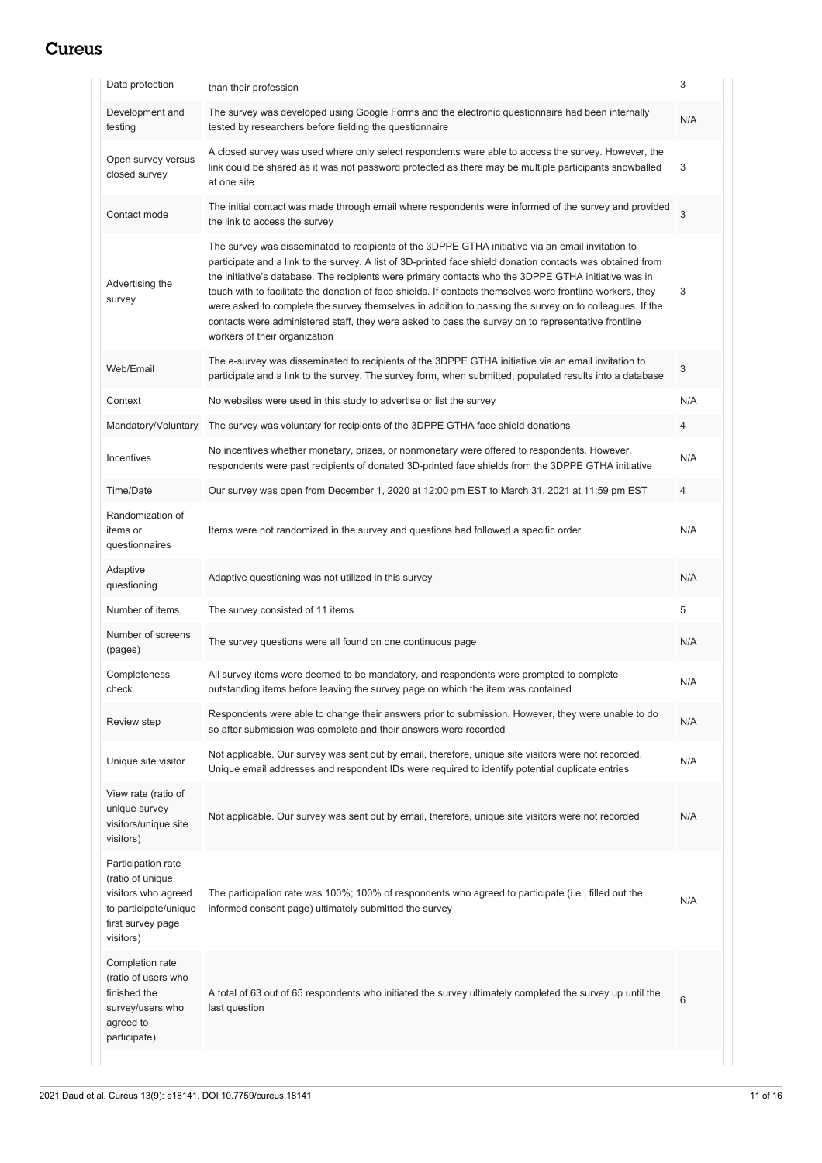| Data protection                                                                                                          | than their profession                                                                                                                                                                                                                                                                                                                                                                                                                                                                                                                                                                                                                                                                    | 3              |
|--------------------------------------------------------------------------------------------------------------------------|------------------------------------------------------------------------------------------------------------------------------------------------------------------------------------------------------------------------------------------------------------------------------------------------------------------------------------------------------------------------------------------------------------------------------------------------------------------------------------------------------------------------------------------------------------------------------------------------------------------------------------------------------------------------------------------|----------------|
| Development and<br>testing                                                                                               | The survey was developed using Google Forms and the electronic questionnaire had been internally<br>tested by researchers before fielding the questionnaire                                                                                                                                                                                                                                                                                                                                                                                                                                                                                                                              | N/A            |
| Open survey versus<br>closed survey                                                                                      | A closed survey was used where only select respondents were able to access the survey. However, the<br>link could be shared as it was not password protected as there may be multiple participants snowballed<br>at one site                                                                                                                                                                                                                                                                                                                                                                                                                                                             | 3              |
| Contact mode                                                                                                             | The initial contact was made through email where respondents were informed of the survey and provided<br>the link to access the survey                                                                                                                                                                                                                                                                                                                                                                                                                                                                                                                                                   | $\overline{3}$ |
| Advertising the<br>survey                                                                                                | The survey was disseminated to recipients of the 3DPPE GTHA initiative via an email invitation to<br>participate and a link to the survey. A list of 3D-printed face shield donation contacts was obtained from<br>the initiative's database. The recipients were primary contacts who the 3DPPE GTHA initiative was in<br>touch with to facilitate the donation of face shields. If contacts themselves were frontline workers, they<br>were asked to complete the survey themselves in addition to passing the survey on to colleagues. If the<br>contacts were administered staff, they were asked to pass the survey on to representative frontline<br>workers of their organization | 3              |
| Web/Email                                                                                                                | The e-survey was disseminated to recipients of the 3DPPE GTHA initiative via an email invitation to<br>participate and a link to the survey. The survey form, when submitted, populated results into a database                                                                                                                                                                                                                                                                                                                                                                                                                                                                          | 3              |
| Context                                                                                                                  | No websites were used in this study to advertise or list the survey                                                                                                                                                                                                                                                                                                                                                                                                                                                                                                                                                                                                                      | N/A            |
| Mandatory/Voluntary                                                                                                      | The survey was voluntary for recipients of the 3DPPE GTHA face shield donations                                                                                                                                                                                                                                                                                                                                                                                                                                                                                                                                                                                                          | $\overline{4}$ |
| Incentives                                                                                                               | No incentives whether monetary, prizes, or nonmonetary were offered to respondents. However,<br>respondents were past recipients of donated 3D-printed face shields from the 3DPPE GTHA initiative                                                                                                                                                                                                                                                                                                                                                                                                                                                                                       | N/A            |
| Time/Date                                                                                                                | Our survey was open from December 1, 2020 at 12:00 pm EST to March 31, 2021 at 11:59 pm EST                                                                                                                                                                                                                                                                                                                                                                                                                                                                                                                                                                                              | $\overline{4}$ |
| Randomization of<br>items or<br>questionnaires                                                                           | Items were not randomized in the survey and questions had followed a specific order                                                                                                                                                                                                                                                                                                                                                                                                                                                                                                                                                                                                      | N/A            |
| Adaptive<br>questioning                                                                                                  | Adaptive questioning was not utilized in this survey                                                                                                                                                                                                                                                                                                                                                                                                                                                                                                                                                                                                                                     | N/A            |
| Number of items                                                                                                          | The survey consisted of 11 items                                                                                                                                                                                                                                                                                                                                                                                                                                                                                                                                                                                                                                                         | 5              |
| Number of screens<br>(pages)                                                                                             | The survey questions were all found on one continuous page                                                                                                                                                                                                                                                                                                                                                                                                                                                                                                                                                                                                                               | N/A            |
| Completeness<br>check                                                                                                    | All survey items were deemed to be mandatory, and respondents were prompted to complete<br>outstanding items before leaving the survey page on which the item was contained                                                                                                                                                                                                                                                                                                                                                                                                                                                                                                              | N/A            |
| Review step                                                                                                              | Respondents were able to change their answers prior to submission. However, they were unable to do<br>so after submission was complete and their answers were recorded                                                                                                                                                                                                                                                                                                                                                                                                                                                                                                                   | N/A            |
| Unique site visitor                                                                                                      | Not applicable. Our survey was sent out by email, therefore, unique site visitors were not recorded.<br>Unique email addresses and respondent IDs were required to identify potential duplicate entries                                                                                                                                                                                                                                                                                                                                                                                                                                                                                  | N/A            |
| View rate (ratio of<br>unique survey<br>visitors/unique site<br>visitors)                                                | Not applicable. Our survey was sent out by email, therefore, unique site visitors were not recorded                                                                                                                                                                                                                                                                                                                                                                                                                                                                                                                                                                                      | N/A            |
| Participation rate<br>(ratio of unique<br>visitors who agreed<br>to participate/unique<br>first survey page<br>visitors) | The participation rate was 100%; 100% of respondents who agreed to participate (i.e., filled out the<br>informed consent page) ultimately submitted the survey                                                                                                                                                                                                                                                                                                                                                                                                                                                                                                                           | N/A            |
| Completion rate<br>(ratio of users who<br>finished the<br>survey/users who<br>agreed to<br>participate)                  | A total of 63 out of 65 respondents who initiated the survey ultimately completed the survey up until the<br>last question                                                                                                                                                                                                                                                                                                                                                                                                                                                                                                                                                               | 6              |
|                                                                                                                          |                                                                                                                                                                                                                                                                                                                                                                                                                                                                                                                                                                                                                                                                                          |                |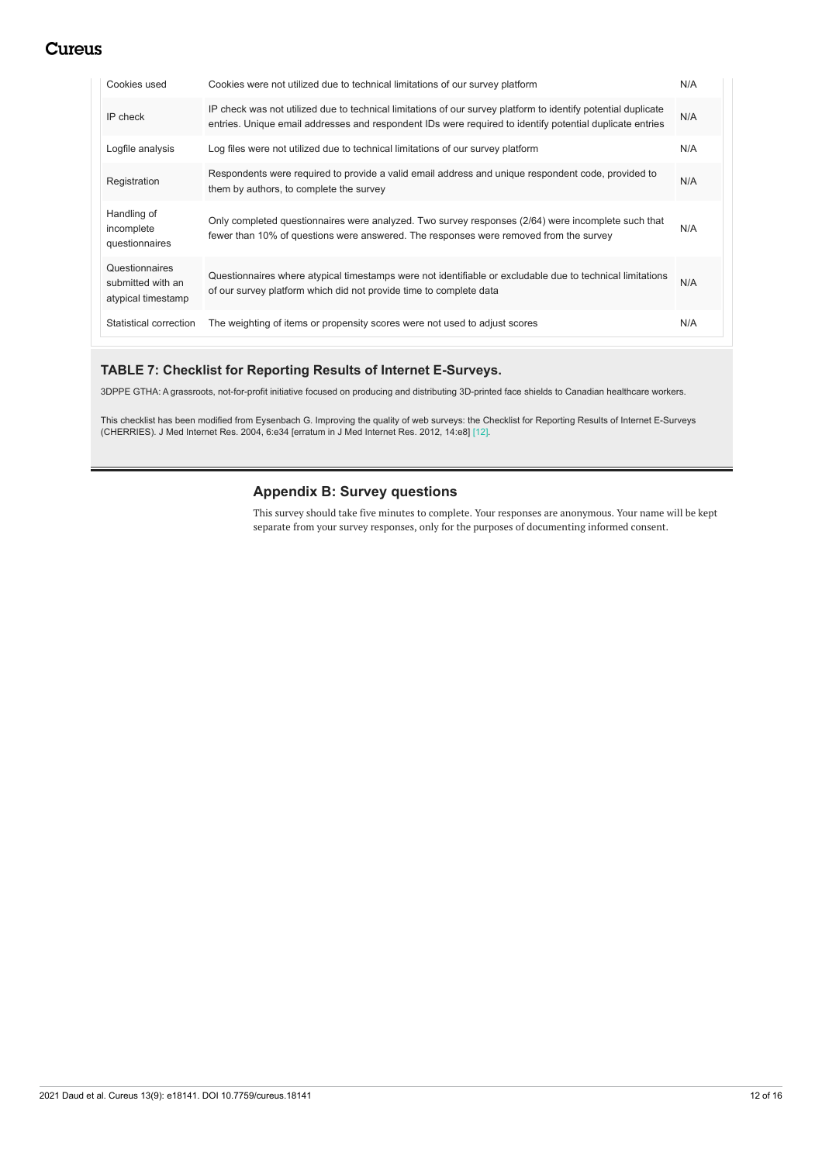| Cookies used                                              | Cookies were not utilized due to technical limitations of our survey platform                                                                                                                                             | N/A |
|-----------------------------------------------------------|---------------------------------------------------------------------------------------------------------------------------------------------------------------------------------------------------------------------------|-----|
| IP check                                                  | IP check was not utilized due to technical limitations of our survey platform to identify potential duplicate<br>entries. Unique email addresses and respondent IDs were required to identify potential duplicate entries | N/A |
| Logfile analysis                                          | Log files were not utilized due to technical limitations of our survey platform                                                                                                                                           | N/A |
| Registration                                              | Respondents were required to provide a valid email address and unique respondent code, provided to<br>them by authors, to complete the survey                                                                             | N/A |
| Handling of<br>incomplete<br>questionnaires               | Only completed questionnaires were analyzed. Two survey responses (2/64) were incomplete such that<br>fewer than 10% of questions were answered. The responses were removed from the survey                               | N/A |
| Questionnaires<br>submitted with an<br>atypical timestamp | Questionnaires where atypical timestamps were not identifiable or excludable due to technical limitations<br>of our survey platform which did not provide time to complete data                                           | N/A |
| Statistical correction                                    | The weighting of items or propensity scores were not used to adjust scores                                                                                                                                                | N/A |

## **TABLE 7: Checklist for Reporting Results of Internet E-Surveys.**

3DPPE GTHA: A grassroots, not-for-profit initiative focused on producing and distributing 3D-printed face shields to Canadian healthcare workers.

This checklist has been modified from Eysenbach G. Improving the quality of web surveys: the Checklist for Reporting Results of Internet E-Surveys (CHERRIES). J Med Internet Res. 2004, 6:e34 [erratum in J Med Internet Res. 2012, 14:e8] [12].

## **Appendix B: Survey questions**

This survey should take five minutes to complete. Your responses are anonymous. Your name will be kept separate from your survey responses, only for the purposes of documenting informed consent.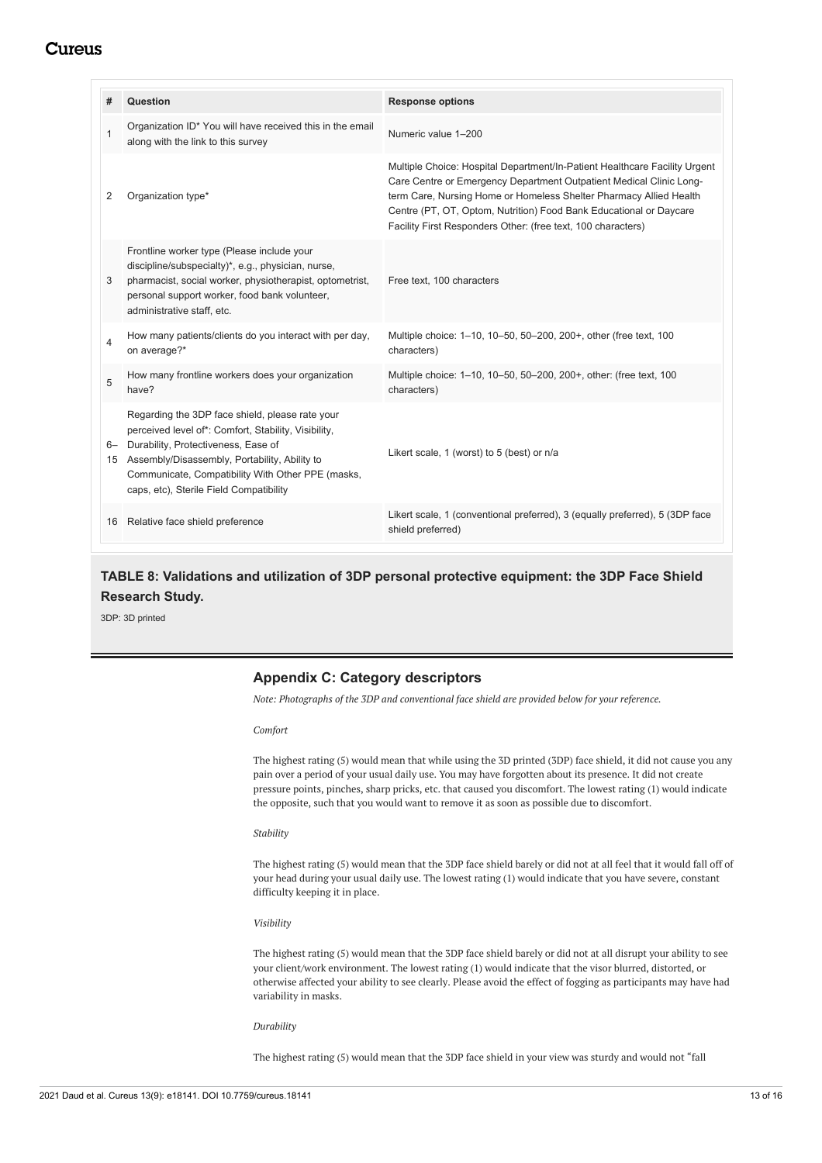| #            | Question                                                                                                                                                                                                                                                                                        | <b>Response options</b>                                                                                                                                                                                                                                                                                                                                       |
|--------------|-------------------------------------------------------------------------------------------------------------------------------------------------------------------------------------------------------------------------------------------------------------------------------------------------|---------------------------------------------------------------------------------------------------------------------------------------------------------------------------------------------------------------------------------------------------------------------------------------------------------------------------------------------------------------|
| $\mathbf{1}$ | Organization ID* You will have received this in the email<br>along with the link to this survey                                                                                                                                                                                                 | Numeric value 1-200                                                                                                                                                                                                                                                                                                                                           |
| 2            | Organization type*                                                                                                                                                                                                                                                                              | Multiple Choice: Hospital Department/In-Patient Healthcare Facility Urgent<br>Care Centre or Emergency Department Outpatient Medical Clinic Long-<br>term Care, Nursing Home or Homeless Shelter Pharmacy Allied Health<br>Centre (PT, OT, Optom, Nutrition) Food Bank Educational or Daycare<br>Facility First Responders Other: (free text, 100 characters) |
| 3            | Frontline worker type (Please include your<br>discipline/subspecialty)*, e.g., physician, nurse,<br>pharmacist, social worker, physiotherapist, optometrist,<br>personal support worker, food bank volunteer,<br>administrative staff, etc.                                                     | Free text, 100 characters                                                                                                                                                                                                                                                                                                                                     |
| 4            | How many patients/clients do you interact with per day,<br>on average?*                                                                                                                                                                                                                         | Multiple choice: 1-10, 10-50, 50-200, 200+, other (free text, 100<br>characters)                                                                                                                                                                                                                                                                              |
| 5            | How many frontline workers does your organization<br>have?                                                                                                                                                                                                                                      | Multiple choice: 1-10, 10-50, 50-200, 200+, other: (free text, 100<br>characters)                                                                                                                                                                                                                                                                             |
| 6—<br>15     | Regarding the 3DP face shield, please rate your<br>perceived level of*: Comfort, Stability, Visibility,<br>Durability, Protectiveness, Ease of<br>Assembly/Disassembly, Portability, Ability to<br>Communicate, Compatibility With Other PPE (masks,<br>caps, etc), Sterile Field Compatibility | Likert scale, 1 (worst) to 5 (best) or n/a                                                                                                                                                                                                                                                                                                                    |
| 16           | Relative face shield preference                                                                                                                                                                                                                                                                 | Likert scale, 1 (conventional preferred), 3 (equally preferred), 5 (3DP face<br>shield preferred)                                                                                                                                                                                                                                                             |

# **TABLE 8: Validations and utilization of 3DP personal protective equipment: the 3DP Face Shield Research Study.**

3DP: 3D printed

## **Appendix C: Category descriptors**

*Note: Photographs of the 3DP and conventional face shield are provided below for your reference.*

*Comfort*

The highest rating (5) would mean that while using the 3D printed (3DP) face shield, it did not cause you any pain over a period of your usual daily use. You may have forgotten about its presence. It did not create pressure points, pinches, sharp pricks, etc. that caused you discomfort. The lowest rating (1) would indicate the opposite, such that you would want to remove it as soon as possible due to discomfort.

#### *Stability*

The highest rating (5) would mean that the 3DP face shield barely or did not at all feel that it would fall off of your head during your usual daily use. The lowest rating (1) would indicate that you have severe, constant difficulty keeping it in place.

*Visibility*

The highest rating (5) would mean that the 3DP face shield barely or did not at all disrupt your ability to see your client/work environment. The lowest rating (1) would indicate that the visor blurred, distorted, or otherwise affected your ability to see clearly. Please avoid the effect of fogging as participants may have had variability in masks.

#### *Durability*

The highest rating (5) would mean that the 3DP face shield in your view was sturdy and would not "fall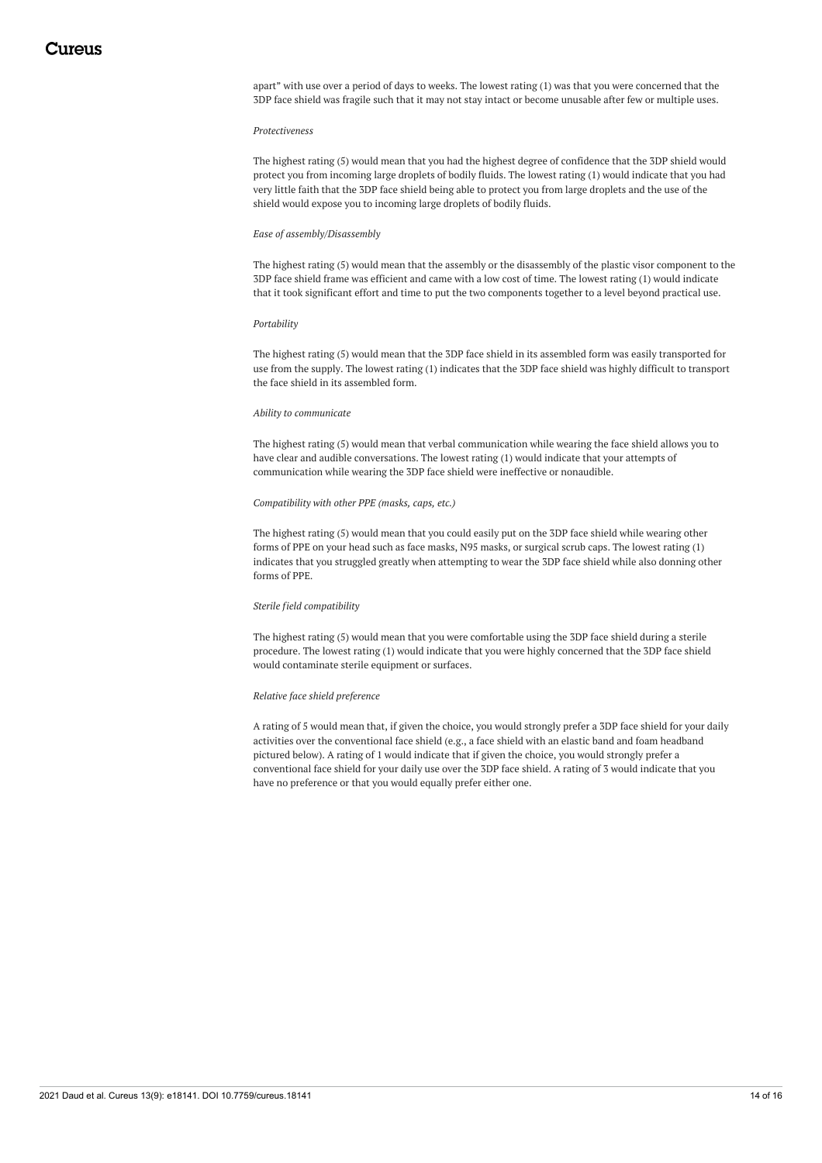apart" with use over a period of days to weeks. The lowest rating (1) was that you were concerned that the 3DP face shield was fragile such that it may not stay intact or become unusable after few or multiple uses.

#### *Protectiveness*

The highest rating (5) would mean that you had the highest degree of confidence that the 3DP shield would protect you from incoming large droplets of bodily fluids. The lowest rating (1) would indicate that you had very little faith that the 3DP face shield being able to protect you from large droplets and the use of the shield would expose you to incoming large droplets of bodily fluids.

#### *Ease of assembly/Disassembly*

The highest rating (5) would mean that the assembly or the disassembly of the plastic visor component to the 3DP face shield frame was efficient and came with a low cost of time. The lowest rating (1) would indicate that it took significant effort and time to put the two components together to a level beyond practical use.

#### *Portability*

The highest rating (5) would mean that the 3DP face shield in its assembled form was easily transported for use from the supply. The lowest rating (1) indicates that the 3DP face shield was highly difficult to transport the face shield in its assembled form.

#### *Ability to communicate*

The highest rating (5) would mean that verbal communication while wearing the face shield allows you to have clear and audible conversations. The lowest rating (1) would indicate that your attempts of communication while wearing the 3DP face shield were ineffective or nonaudible.

#### *Compatibility with other PPE (masks, caps, etc.)*

The highest rating (5) would mean that you could easily put on the 3DP face shield while wearing other forms of PPE on your head such as face masks, N95 masks, or surgical scrub caps. The lowest rating (1) indicates that you struggled greatly when attempting to wear the 3DP face shield while also donning other forms of PPE.

#### *Sterile field compatibility*

The highest rating (5) would mean that you were comfortable using the 3DP face shield during a sterile procedure. The lowest rating (1) would indicate that you were highly concerned that the 3DP face shield would contaminate sterile equipment or surfaces.

#### *Relative face shield preference*

A rating of 5 would mean that, if given the choice, you would strongly prefer a 3DP face shield for your daily activities over the conventional face shield (e.g., a face shield with an elastic band and foam headband pictured below). A rating of 1 would indicate that if given the choice, you would strongly prefer a conventional face shield for your daily use over the 3DP face shield. A rating of 3 would indicate that you have no preference or that you would equally prefer either one.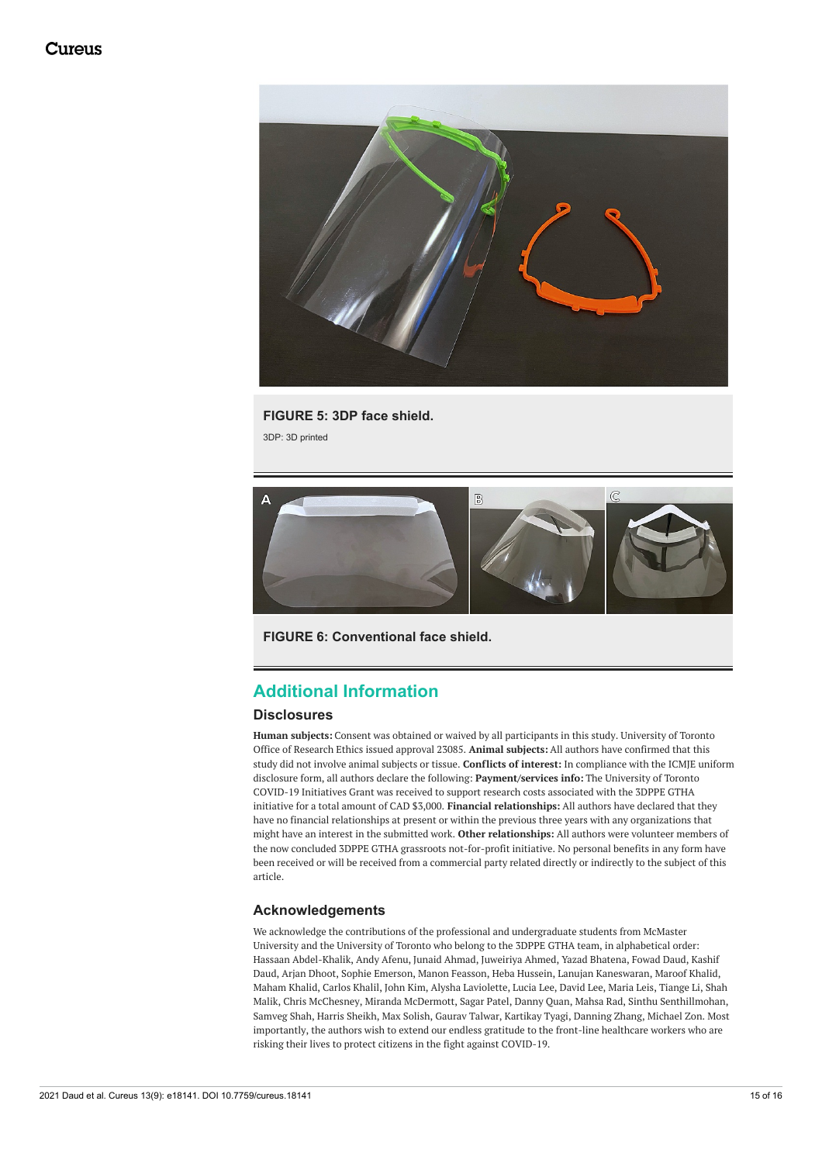

**FIGURE 5: 3DP face shield.** 3DP: 3D printed



**FIGURE 6: Conventional face shield.**

# **Additional Information**

## **Disclosures**

**Human subjects:** Consent was obtained or waived by all participants in this study. University of Toronto Office of Research Ethics issued approval 23085. **Animal subjects:** All authors have confirmed that this study did not involve animal subjects or tissue. **Conflicts of interest:** In compliance with the ICMJE uniform disclosure form, all authors declare the following: **Payment/services info:** The University of Toronto COVID-19 Initiatives Grant was received to support research costs associated with the 3DPPE GTHA initiative for a total amount of CAD \$3,000. **Financial relationships:** All authors have declared that they have no financial relationships at present or within the previous three years with any organizations that might have an interest in the submitted work. **Other relationships:** All authors were volunteer members of the now concluded 3DPPE GTHA grassroots not-for-profit initiative. No personal benefits in any form have been received or will be received from a commercial party related directly or indirectly to the subject of this article.

## **Acknowledgements**

We acknowledge the contributions of the professional and undergraduate students from McMaster University and the University of Toronto who belong to the 3DPPE GTHA team, in alphabetical order: Hassaan Abdel-Khalik, Andy Afenu, Junaid Ahmad, Juweiriya Ahmed, Yazad Bhatena, Fowad Daud, Kashif Daud, Arjan Dhoot, Sophie Emerson, Manon Feasson, Heba Hussein, Lanujan Kaneswaran, Maroof Khalid, Maham Khalid, Carlos Khalil, John Kim, Alysha Laviolette, Lucia Lee, David Lee, Maria Leis, Tiange Li, Shah Malik, Chris McChesney, Miranda McDermott, Sagar Patel, Danny Quan, Mahsa Rad, Sinthu Senthillmohan, Samveg Shah, Harris Sheikh, Max Solish, Gaurav Talwar, Kartikay Tyagi, Danning Zhang, Michael Zon. Most importantly, the authors wish to extend our endless gratitude to the front-line healthcare workers who are risking their lives to protect citizens in the fight against COVID-19.